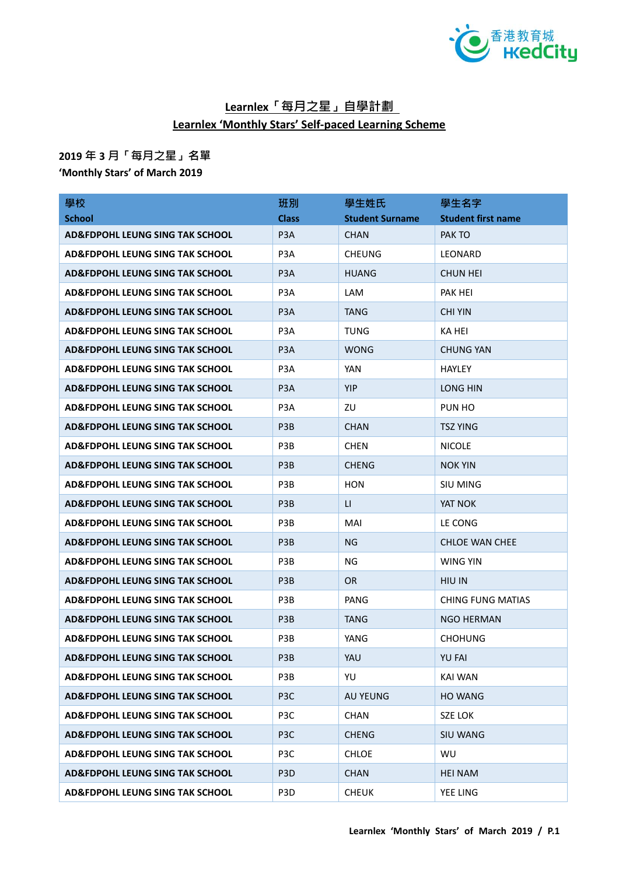

## **Learnlex「每月之星」自學計劃 Learnlex 'Monthly Stars' Self-paced Learning Scheme**

## **2019 年 3 月「每月之星」名單**

**'Monthly Stars' of March 2019**

| 學校                                         | 班別               | 學生姓氏                   | 學生名字                      |
|--------------------------------------------|------------------|------------------------|---------------------------|
| <b>School</b>                              | <b>Class</b>     | <b>Student Surname</b> | <b>Student first name</b> |
| AD&FDPOHL LEUNG SING TAK SCHOOL            | P <sub>3</sub> A | <b>CHAN</b>            | PAK TO                    |
| <b>AD&amp;FDPOHL LEUNG SING TAK SCHOOL</b> | P3A              | <b>CHEUNG</b>          | LEONARD                   |
| <b>AD&amp;FDPOHL LEUNG SING TAK SCHOOL</b> | P <sub>3</sub> A | <b>HUANG</b>           | <b>CHUN HEI</b>           |
| <b>AD&amp;FDPOHL LEUNG SING TAK SCHOOL</b> | P <sub>3</sub> A | LAM                    | PAK HEI                   |
| <b>AD&amp;FDPOHL LEUNG SING TAK SCHOOL</b> | P <sub>3</sub> A | <b>TANG</b>            | <b>CHI YIN</b>            |
| <b>AD&amp;FDPOHL LEUNG SING TAK SCHOOL</b> | P <sub>3</sub> A | <b>TUNG</b>            | KA HEI                    |
| <b>AD&amp;FDPOHL LEUNG SING TAK SCHOOL</b> | P <sub>3</sub> A | <b>WONG</b>            | <b>CHUNG YAN</b>          |
| AD&FDPOHL LEUNG SING TAK SCHOOL            | P3A              | YAN                    | <b>HAYLEY</b>             |
| <b>AD&amp;FDPOHL LEUNG SING TAK SCHOOL</b> | P <sub>3</sub> A | <b>YIP</b>             | LONG HIN                  |
| <b>AD&amp;FDPOHL LEUNG SING TAK SCHOOL</b> | P <sub>3</sub> A | ZU                     | PUN HO                    |
| <b>AD&amp;FDPOHL LEUNG SING TAK SCHOOL</b> | P <sub>3</sub> B | <b>CHAN</b>            | <b>TSZ YING</b>           |
| <b>AD&amp;FDPOHL LEUNG SING TAK SCHOOL</b> | P3B              | <b>CHEN</b>            | <b>NICOLE</b>             |
| <b>AD&amp;FDPOHL LEUNG SING TAK SCHOOL</b> | P <sub>3</sub> B | <b>CHENG</b>           | <b>NOK YIN</b>            |
| <b>AD&amp;FDPOHL LEUNG SING TAK SCHOOL</b> | P3B              | <b>HON</b>             | <b>SIU MING</b>           |
| <b>AD&amp;FDPOHL LEUNG SING TAK SCHOOL</b> | P <sub>3</sub> B | LI.                    | YAT NOK                   |
| <b>AD&amp;FDPOHL LEUNG SING TAK SCHOOL</b> | P3B              | MAI                    | LE CONG                   |
| AD&FDPOHL LEUNG SING TAK SCHOOL            | P <sub>3</sub> B | NG                     | <b>CHLOE WAN CHEE</b>     |
| <b>AD&amp;FDPOHL LEUNG SING TAK SCHOOL</b> | P3B              | ΝG                     | WING YIN                  |
| <b>AD&amp;FDPOHL LEUNG SING TAK SCHOOL</b> | P <sub>3</sub> B | OR.                    | <b>HIU IN</b>             |
| <b>AD&amp;FDPOHL LEUNG SING TAK SCHOOL</b> | P3B              | PANG                   | <b>CHING FUNG MATIAS</b>  |
| <b>AD&amp;FDPOHL LEUNG SING TAK SCHOOL</b> | P <sub>3</sub> B | TANG                   | <b>NGO HERMAN</b>         |
| <b>AD&amp;FDPOHL LEUNG SING TAK SCHOOL</b> | P3B              | YANG                   | <b>CHOHUNG</b>            |
| <b>AD&amp;FDPOHL LEUNG SING TAK SCHOOL</b> | P3B              | YAU                    | <b>YU FAI</b>             |
| AD&FDPOHL LEUNG SING TAK SCHOOL            | P3B              | YU                     | KAI WAN                   |
| AD&FDPOHL LEUNG SING TAK SCHOOL            | P <sub>3</sub> C | <b>AU YEUNG</b>        | <b>HO WANG</b>            |
| AD&FDPOHL LEUNG SING TAK SCHOOL            | P <sub>3</sub> C | <b>CHAN</b>            | <b>SZE LOK</b>            |
| AD&FDPOHL LEUNG SING TAK SCHOOL            | P <sub>3C</sub>  | <b>CHENG</b>           | <b>SIU WANG</b>           |
| AD&FDPOHL LEUNG SING TAK SCHOOL            | P3C              | <b>CHLOE</b>           | WU                        |
| <b>AD&amp;FDPOHL LEUNG SING TAK SCHOOL</b> | P <sub>3</sub> D | <b>CHAN</b>            | <b>HEI NAM</b>            |
| AD&FDPOHL LEUNG SING TAK SCHOOL            | P3D              | <b>CHEUK</b>           | YEE LING                  |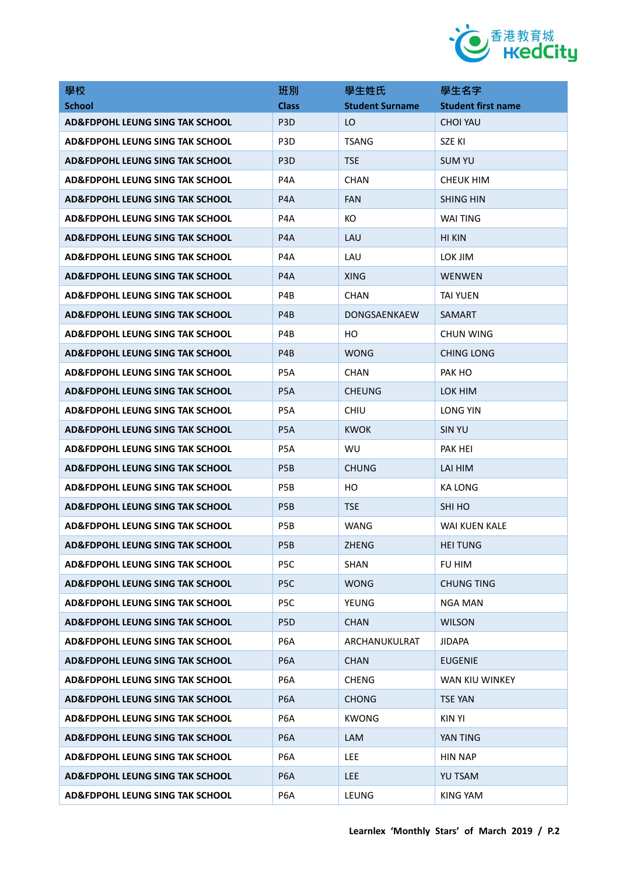

| 學校                                         | 班別               | 學生姓氏                   | 學生名字                      |
|--------------------------------------------|------------------|------------------------|---------------------------|
| <b>School</b>                              | <b>Class</b>     | <b>Student Surname</b> | <b>Student first name</b> |
| AD&FDPOHL LEUNG SING TAK SCHOOL            | P <sub>3</sub> D | LO.                    | <b>CHOI YAU</b>           |
| AD&FDPOHL LEUNG SING TAK SCHOOL            | P <sub>3</sub> D | <b>TSANG</b>           | <b>SZE KI</b>             |
| AD&FDPOHL LEUNG SING TAK SCHOOL            | P <sub>3</sub> D | <b>TSE</b>             | <b>SUM YU</b>             |
| AD&FDPOHL LEUNG SING TAK SCHOOL            | P4A              | <b>CHAN</b>            | CHEUK HIM                 |
| AD&FDPOHL LEUNG SING TAK SCHOOL            | P4A              | <b>FAN</b>             | <b>SHING HIN</b>          |
| <b>AD&amp;FDPOHL LEUNG SING TAK SCHOOL</b> | P <sub>4</sub> A | KO                     | WAI TING                  |
| AD&FDPOHL LEUNG SING TAK SCHOOL            | P4A              | LAU                    | <b>HI KIN</b>             |
| AD&FDPOHL LEUNG SING TAK SCHOOL            | P4A              | LAU                    | LOK JIM                   |
| AD&FDPOHL LEUNG SING TAK SCHOOL            | P4A              | <b>XING</b>            | <b>WENWEN</b>             |
| AD&FDPOHL LEUNG SING TAK SCHOOL            | P4B              | <b>CHAN</b>            | <b>TAI YUEN</b>           |
| AD&FDPOHL LEUNG SING TAK SCHOOL            | P4B              | DONGSAENKAEW           | <b>SAMART</b>             |
| <b>AD&amp;FDPOHL LEUNG SING TAK SCHOOL</b> | P4B              | HO.                    | CHUN WING                 |
| <b>AD&amp;FDPOHL LEUNG SING TAK SCHOOL</b> | P4B              | <b>WONG</b>            | CHING LONG                |
| AD&FDPOHL LEUNG SING TAK SCHOOL            | P5A              | <b>CHAN</b>            | PAK HO                    |
| <b>AD&amp;FDPOHL LEUNG SING TAK SCHOOL</b> | P <sub>5</sub> A | <b>CHEUNG</b>          | LOK HIM                   |
| AD&FDPOHL LEUNG SING TAK SCHOOL            | P <sub>5</sub> A | <b>CHIU</b>            | LONG YIN                  |
| AD&FDPOHL LEUNG SING TAK SCHOOL            | P <sub>5</sub> A | KWOK.                  | <b>SIN YU</b>             |
| <b>AD&amp;FDPOHL LEUNG SING TAK SCHOOL</b> | P <sub>5</sub> A | WU                     | PAK HEI                   |
| AD&FDPOHL LEUNG SING TAK SCHOOL            | P <sub>5</sub> B | <b>CHUNG</b>           | LAI HIM                   |
| <b>AD&amp;FDPOHL LEUNG SING TAK SCHOOL</b> | P <sub>5</sub> B | HO                     | <b>KA LONG</b>            |
| <b>AD&amp;FDPOHL LEUNG SING TAK SCHOOL</b> | P <sub>5</sub> B | <b>TSE</b>             | SHI HO                    |
| AD&FDPOHL LEUNG SING TAK SCHOOL            | P <sub>5</sub> B | WANG                   | WAI KUEN KALE             |
| <b>AD&amp;FDPOHL LEUNG SING TAK SCHOOL</b> | P <sub>5</sub> B | ZHENG                  | <b>HEI TUNG</b>           |
| <b>AD&amp;FDPOHL LEUNG SING TAK SCHOOL</b> | P5C              | <b>SHAN</b>            | FU HIM                    |
| AD&FDPOHL LEUNG SING TAK SCHOOL            | P <sub>5</sub> C | <b>WONG</b>            | <b>CHUNG TING</b>         |
| AD&FDPOHL LEUNG SING TAK SCHOOL            | P5C              | YEUNG                  | <b>NGA MAN</b>            |
| <b>AD&amp;FDPOHL LEUNG SING TAK SCHOOL</b> | P5D              | <b>CHAN</b>            | <b>WILSON</b>             |
| <b>AD&amp;FDPOHL LEUNG SING TAK SCHOOL</b> | P6A              | ARCHANUKULRAT          | <b>JIDAPA</b>             |
| <b>AD&amp;FDPOHL LEUNG SING TAK SCHOOL</b> | P <sub>6</sub> A | <b>CHAN</b>            | EUGENIE                   |
| <b>AD&amp;FDPOHL LEUNG SING TAK SCHOOL</b> | P6A              | <b>CHENG</b>           | WAN KIU WINKEY            |
| <b>AD&amp;FDPOHL LEUNG SING TAK SCHOOL</b> | P6A              | <b>CHONG</b>           | <b>TSE YAN</b>            |
| <b>AD&amp;FDPOHL LEUNG SING TAK SCHOOL</b> | P6A              | <b>KWONG</b>           | <b>KIN YI</b>             |
| <b>AD&amp;FDPOHL LEUNG SING TAK SCHOOL</b> | P6A              | LAM                    | YAN TING                  |
| <b>AD&amp;FDPOHL LEUNG SING TAK SCHOOL</b> | P6A              | LEE.                   | HIN NAP                   |
| <b>AD&amp;FDPOHL LEUNG SING TAK SCHOOL</b> | P6A              | LEE.                   | YU TSAM                   |
| <b>AD&amp;FDPOHL LEUNG SING TAK SCHOOL</b> | P6A              | LEUNG                  | KING YAM                  |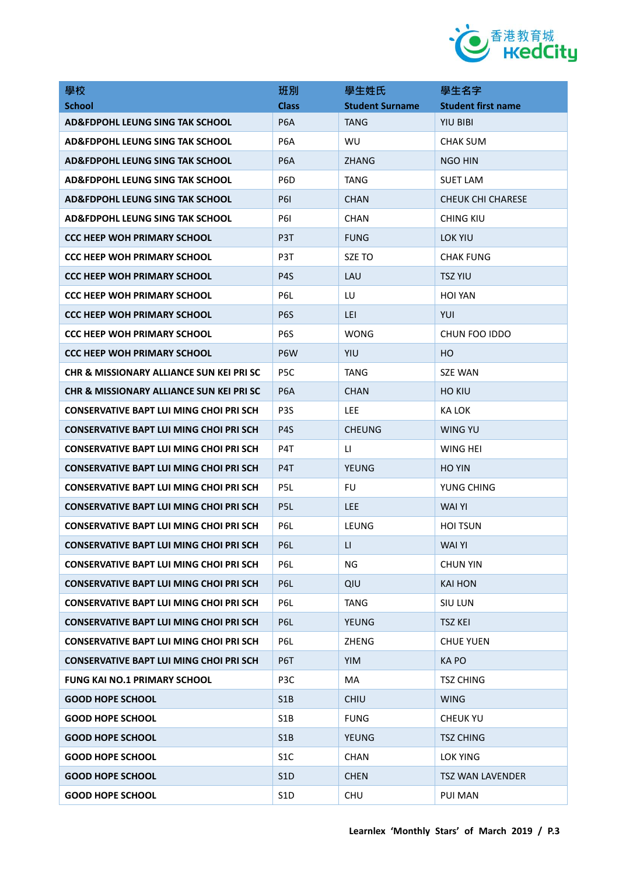

| 學校                                                  | 班別               | 學生姓氏                   | 學生名字                      |
|-----------------------------------------------------|------------------|------------------------|---------------------------|
| <b>School</b>                                       | <b>Class</b>     | <b>Student Surname</b> | <b>Student first name</b> |
| AD&FDPOHL LEUNG SING TAK SCHOOL                     | P <sub>6</sub> A | TANG                   | <b>YIU BIBI</b>           |
| <b>AD&amp;FDPOHL LEUNG SING TAK SCHOOL</b>          | P <sub>6</sub> A | <b>WU</b>              | <b>CHAK SUM</b>           |
| AD&FDPOHL LEUNG SING TAK SCHOOL                     | P <sub>6</sub> A | <b>ZHANG</b>           | <b>NGO HIN</b>            |
| AD&FDPOHL LEUNG SING TAK SCHOOL                     | P <sub>6</sub> D | TANG                   | <b>SUET LAM</b>           |
| AD&FDPOHL LEUNG SING TAK SCHOOL                     | <b>P61</b>       | <b>CHAN</b>            | <b>CHEUK CHI CHARESE</b>  |
| <b>AD&amp;FDPOHL LEUNG SING TAK SCHOOL</b>          | <b>P61</b>       | <b>CHAN</b>            | CHING KIU                 |
| <b>CCC HEEP WOH PRIMARY SCHOOL</b>                  | P <sub>3</sub> T | <b>FUNG</b>            | LOK YIU                   |
| <b>CCC HEEP WOH PRIMARY SCHOOL</b>                  | P <sub>3</sub> T | SZE TO                 | <b>CHAK FUNG</b>          |
| <b>CCC HEEP WOH PRIMARY SCHOOL</b>                  | P <sub>4</sub> S | LAU                    | <b>TSZ YIU</b>            |
| <b>CCC HEEP WOH PRIMARY SCHOOL</b>                  | P6L              | LU                     | <b>HOI YAN</b>            |
| CCC HEEP WOH PRIMARY SCHOOL                         | P <sub>6</sub> S | LEI                    | YUI                       |
| <b>CCC HEEP WOH PRIMARY SCHOOL</b>                  | P <sub>6</sub> S | <b>WONG</b>            | CHUN FOO IDDO             |
| CCC HEEP WOH PRIMARY SCHOOL                         | P <sub>6</sub> W | YIU                    | HO.                       |
| CHR & MISSIONARY ALLIANCE SUN KEI PRI SC            | P5C              | TANG                   | <b>SZE WAN</b>            |
| <b>CHR &amp; MISSIONARY ALLIANCE SUN KEI PRI SC</b> | P <sub>6</sub> A | <b>CHAN</b>            | <b>HO KIU</b>             |
| CONSERVATIVE BAPT LUI MING CHOI PRI SCH             | P <sub>3</sub> S | <b>LEE</b>             | KA LOK                    |
| <b>CONSERVATIVE BAPT LUI MING CHOI PRI SCH</b>      | P <sub>4</sub> S | <b>CHEUNG</b>          | WING YU                   |
| <b>CONSERVATIVE BAPT LUI MING CHOI PRI SCH</b>      | P <sub>4</sub> T | $\mathsf{L}$           | WING HEI                  |
| <b>CONSERVATIVE BAPT LUI MING CHOI PRI SCH</b>      | P <sub>4</sub> T | <b>YEUNG</b>           | <b>HO YIN</b>             |
| <b>CONSERVATIVE BAPT LUI MING CHOI PRI SCH</b>      | P <sub>5</sub> L | FU                     | YUNG CHING                |
| <b>CONSERVATIVE BAPT LUI MING CHOI PRI SCH</b>      | P <sub>5</sub> L | <b>LEE</b>             | <b>WAI YI</b>             |
| <b>CONSERVATIVE BAPT LUI MING CHOI PRI SCH</b>      | P6L              | LEUNG                  | <b>HOI TSUN</b>           |
| <b>CONSERVATIVE BAPT LUI MING CHOI PRI SCH</b>      | P6L              | П                      | <b>WAI YI</b>             |
| CONSERVATIVE BAPT LUI MING CHOI PRI SCH             | P6L              | ΝG                     | <b>CHUN YIN</b>           |
| CONSERVATIVE BAPT LUI MING CHOI PRI SCH             | P <sub>6</sub> L | QIU                    | KAI HON                   |
| <b>CONSERVATIVE BAPT LUI MING CHOI PRI SCH</b>      | P6L              | <b>TANG</b>            | <b>SIU LUN</b>            |
| <b>CONSERVATIVE BAPT LUI MING CHOI PRI SCH</b>      | P6L              | <b>YEUNG</b>           | <b>TSZ KEI</b>            |
| <b>CONSERVATIVE BAPT LUI MING CHOI PRI SCH</b>      | P6L              | ZHENG                  | <b>CHUE YUEN</b>          |
| <b>CONSERVATIVE BAPT LUI MING CHOI PRI SCH</b>      | P6T              | YIM                    | <b>KAPO</b>               |
| <b>FUNG KAI NO.1 PRIMARY SCHOOL</b>                 | P3C              | MA                     | <b>TSZ CHING</b>          |
| <b>GOOD HOPE SCHOOL</b>                             | S <sub>1</sub> B | <b>CHIU</b>            | <b>WING</b>               |
| <b>GOOD HOPE SCHOOL</b>                             | S1B              | <b>FUNG</b>            | <b>CHEUK YU</b>           |
| <b>GOOD HOPE SCHOOL</b>                             | S <sub>1</sub> B | <b>YEUNG</b>           | <b>TSZ CHING</b>          |
| <b>GOOD HOPE SCHOOL</b>                             | S <sub>1</sub> C | CHAN                   | LOK YING                  |
| <b>GOOD HOPE SCHOOL</b>                             | S1D              | <b>CHEN</b>            | <b>TSZ WAN LAVENDER</b>   |
| <b>GOOD HOPE SCHOOL</b>                             | S <sub>1</sub> D | CHU                    | PUI MAN                   |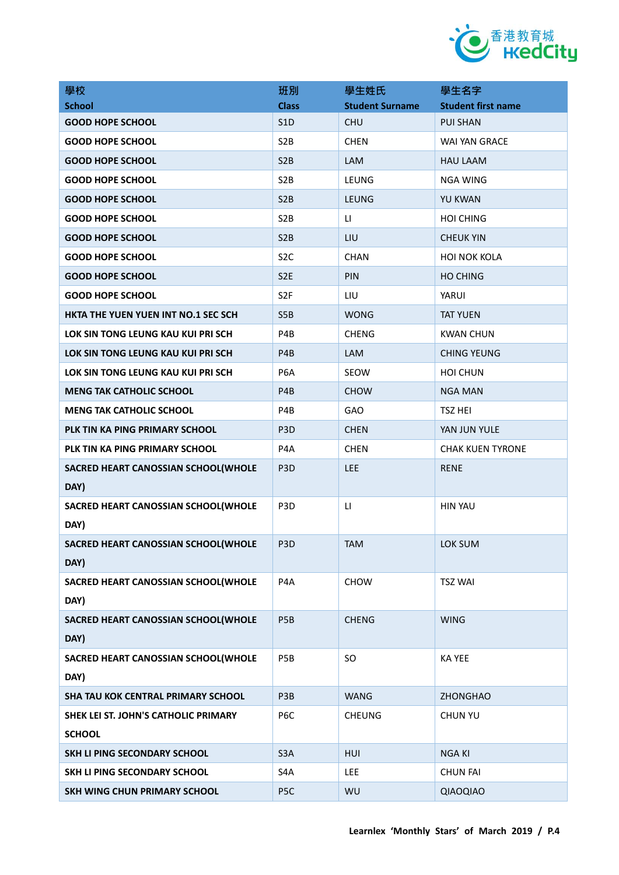

| 學校                                   | 班別               | 學生姓氏                   | 學生名字                      |
|--------------------------------------|------------------|------------------------|---------------------------|
| <b>School</b>                        | <b>Class</b>     | <b>Student Surname</b> | <b>Student first name</b> |
| <b>GOOD HOPE SCHOOL</b>              | S <sub>1</sub> D | <b>CHU</b>             | <b>PUI SHAN</b>           |
| <b>GOOD HOPE SCHOOL</b>              | S <sub>2</sub> B | <b>CHEN</b>            | WAI YAN GRACE             |
| <b>GOOD HOPE SCHOOL</b>              | S <sub>2</sub> B | LAM                    | <b>HAU LAAM</b>           |
| <b>GOOD HOPE SCHOOL</b>              | S <sub>2</sub> B | LEUNG                  | <b>NGA WING</b>           |
| <b>GOOD HOPE SCHOOL</b>              | S <sub>2</sub> B | <b>LEUNG</b>           | <b>YU KWAN</b>            |
| <b>GOOD HOPE SCHOOL</b>              | S <sub>2</sub> B | $\mathsf{L}$           | <b>HOI CHING</b>          |
| <b>GOOD HOPE SCHOOL</b>              | S <sub>2</sub> B | LIU                    | <b>CHEUK YIN</b>          |
| <b>GOOD HOPE SCHOOL</b>              | S <sub>2</sub> C | CHAN                   | <b>HOI NOK KOLA</b>       |
| <b>GOOD HOPE SCHOOL</b>              | S <sub>2</sub> E | PIN                    | <b>HO CHING</b>           |
| <b>GOOD HOPE SCHOOL</b>              | S <sub>2F</sub>  | LIU                    | YARUI                     |
| HKTA THE YUEN YUEN INT NO.1 SEC SCH  | S5B              | <b>WONG</b>            | <b>TAT YUEN</b>           |
| LOK SIN TONG LEUNG KAU KUI PRI SCH   | P4B              | <b>CHENG</b>           | <b>KWAN CHUN</b>          |
| LOK SIN TONG LEUNG KAU KUI PRI SCH   | P4B              | LAM                    | <b>CHING YEUNG</b>        |
| LOK SIN TONG LEUNG KAU KUI PRI SCH   | P6A              | SEOW                   | <b>HOI CHUN</b>           |
| <b>MENG TAK CATHOLIC SCHOOL</b>      | P <sub>4</sub> B | <b>CHOW</b>            | <b>NGA MAN</b>            |
| <b>MENG TAK CATHOLIC SCHOOL</b>      | P4B              | <b>GAO</b>             | <b>TSZ HEI</b>            |
| PLK TIN KA PING PRIMARY SCHOOL       | P <sub>3</sub> D | <b>CHEN</b>            | YAN JUN YULE              |
| PLK TIN KA PING PRIMARY SCHOOL       | P <sub>4</sub> A | <b>CHEN</b>            | <b>CHAK KUEN TYRONE</b>   |
| SACRED HEART CANOSSIAN SCHOOL(WHOLE  | P <sub>3</sub> D | <b>LEE</b>             | <b>RENE</b>               |
| DAY)                                 |                  |                        |                           |
| SACRED HEART CANOSSIAN SCHOOL(WHOLE  | P <sub>3</sub> D | LI.                    | <b>HIN YAU</b>            |
| DAY)                                 |                  |                        |                           |
| SACRED HEART CANOSSIAN SCHOOL(WHOLE  | P <sub>3</sub> D | <b>TAM</b>             | LOK SUM                   |
| DAY)                                 |                  |                        |                           |
| SACRED HEART CANOSSIAN SCHOOL(WHOLE  | P4A              | CHOW                   | <b>TSZ WAI</b>            |
| DAY)                                 |                  |                        |                           |
| SACRED HEART CANOSSIAN SCHOOL(WHOLE  | P <sub>5</sub> B | <b>CHENG</b>           | <b>WING</b>               |
| DAY)                                 |                  |                        |                           |
| SACRED HEART CANOSSIAN SCHOOL(WHOLE  | P5B              | SO                     | <b>KAYEE</b>              |
| DAY)                                 |                  |                        |                           |
| SHA TAU KOK CENTRAL PRIMARY SCHOOL   | P3B              | <b>WANG</b>            | <b>ZHONGHAO</b>           |
| SHEK LEI ST. JOHN'S CATHOLIC PRIMARY | P <sub>6</sub> C | <b>CHEUNG</b>          | <b>CHUN YU</b>            |
| <b>SCHOOL</b>                        |                  |                        |                           |
| SKH LI PING SECONDARY SCHOOL         | S <sub>3</sub> A | HUI                    | <b>NGA KI</b>             |
| SKH LI PING SECONDARY SCHOOL         | S4A              | LEE                    | <b>CHUN FAI</b>           |
| <b>SKH WING CHUN PRIMARY SCHOOL</b>  | P <sub>5C</sub>  | WU                     | QIAOQIAO                  |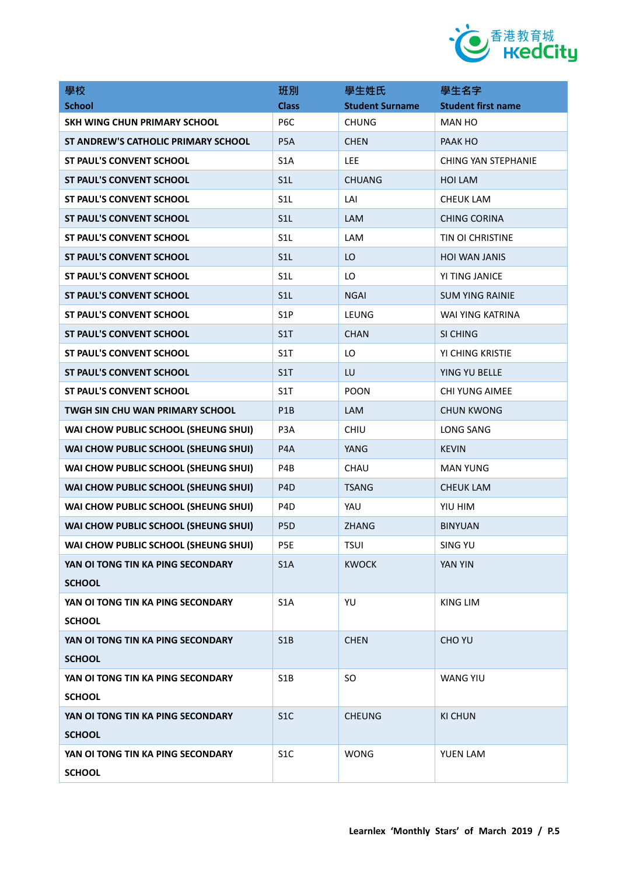

| 學校                                     | 班別               | 學生姓氏                   | 學生名字                      |
|----------------------------------------|------------------|------------------------|---------------------------|
| <b>School</b>                          | <b>Class</b>     | <b>Student Surname</b> | <b>Student first name</b> |
| SKH WING CHUN PRIMARY SCHOOL           | P <sub>6</sub> C | <b>CHUNG</b>           | <b>MAN HO</b>             |
| ST ANDREW'S CATHOLIC PRIMARY SCHOOL    | P <sub>5</sub> A | <b>CHEN</b>            | PAAK HO                   |
| <b>ST PAUL'S CONVENT SCHOOL</b>        | S <sub>1</sub> A | LEE                    | CHING YAN STEPHANIE       |
| <b>ST PAUL'S CONVENT SCHOOL</b>        | S1L              | <b>CHUANG</b>          | HOI LAM                   |
| <b>ST PAUL'S CONVENT SCHOOL</b>        | S <sub>1</sub> L | LAI                    | <b>CHEUK LAM</b>          |
| <b>ST PAUL'S CONVENT SCHOOL</b>        | S1L              | <b>LAM</b>             | <b>CHING CORINA</b>       |
| <b>ST PAUL'S CONVENT SCHOOL</b>        | S <sub>1</sub> L | LAM                    | TIN OI CHRISTINE          |
| <b>ST PAUL'S CONVENT SCHOOL</b>        | S <sub>1</sub> L | LO                     | <b>HOI WAN JANIS</b>      |
| <b>ST PAUL'S CONVENT SCHOOL</b>        | S <sub>1</sub> L | LO                     | YI TING JANICE            |
| <b>ST PAUL'S CONVENT SCHOOL</b>        | S <sub>1</sub> L | <b>NGAI</b>            | <b>SUM YING RAINIE</b>    |
| <b>ST PAUL'S CONVENT SCHOOL</b>        | S <sub>1</sub> P | LEUNG                  | WAI YING KATRINA          |
| <b>ST PAUL'S CONVENT SCHOOL</b>        | S1T              | <b>CHAN</b>            | SI CHING                  |
| ST PAUL'S CONVENT SCHOOL               | S1T              | LO                     | YI CHING KRISTIE          |
| <b>ST PAUL'S CONVENT SCHOOL</b>        | S1T              | LU                     | YING YU BELLE             |
| <b>ST PAUL'S CONVENT SCHOOL</b>        | S1T              | <b>POON</b>            | <b>CHI YUNG AIMEE</b>     |
| <b>TWGH SIN CHU WAN PRIMARY SCHOOL</b> | P <sub>1</sub> B | <b>LAM</b>             | <b>CHUN KWONG</b>         |
| WAI CHOW PUBLIC SCHOOL (SHEUNG SHUI)   | P <sub>3</sub> A | CHIU                   | LONG SANG                 |
| WAI CHOW PUBLIC SCHOOL (SHEUNG SHUI)   | P <sub>4</sub> A | YANG                   | <b>KEVIN</b>              |
| WAI CHOW PUBLIC SCHOOL (SHEUNG SHUI)   | P4B              | CHAU                   | <b>MAN YUNG</b>           |
| WAI CHOW PUBLIC SCHOOL (SHEUNG SHUI)   | P <sub>4</sub> D | <b>TSANG</b>           | <b>CHEUK LAM</b>          |
| WAI CHOW PUBLIC SCHOOL (SHEUNG SHUI)   | P <sub>4</sub> D | YAU                    | YIU HIM                   |
| WAI CHOW PUBLIC SCHOOL (SHEUNG SHUI)   | P <sub>5</sub> D | <b>ZHANG</b>           | <b>BINYUAN</b>            |
| WAI CHOW PUBLIC SCHOOL (SHEUNG SHUI)   | P5E              | <b>TSUI</b>            | <b>SING YU</b>            |
| YAN OI TONG TIN KA PING SECONDARY      | S1A              | <b>KWOCK</b>           | YAN YIN                   |
| <b>SCHOOL</b>                          |                  |                        |                           |
| YAN OI TONG TIN KA PING SECONDARY      | S <sub>1</sub> A | YU                     | KING LIM                  |
| <b>SCHOOL</b>                          |                  |                        |                           |
| YAN OI TONG TIN KA PING SECONDARY      | S <sub>1</sub> B | <b>CHEN</b>            | <b>CHO YU</b>             |
| <b>SCHOOL</b>                          |                  |                        |                           |
| YAN OI TONG TIN KA PING SECONDARY      | S1B              | SO.                    | <b>WANG YIU</b>           |
| <b>SCHOOL</b>                          |                  |                        |                           |
| YAN OI TONG TIN KA PING SECONDARY      | S <sub>1</sub> C | <b>CHEUNG</b>          | <b>KI CHUN</b>            |
| <b>SCHOOL</b>                          |                  |                        |                           |
| YAN OI TONG TIN KA PING SECONDARY      | S <sub>1</sub> C | <b>WONG</b>            | YUEN LAM                  |
| <b>SCHOOL</b>                          |                  |                        |                           |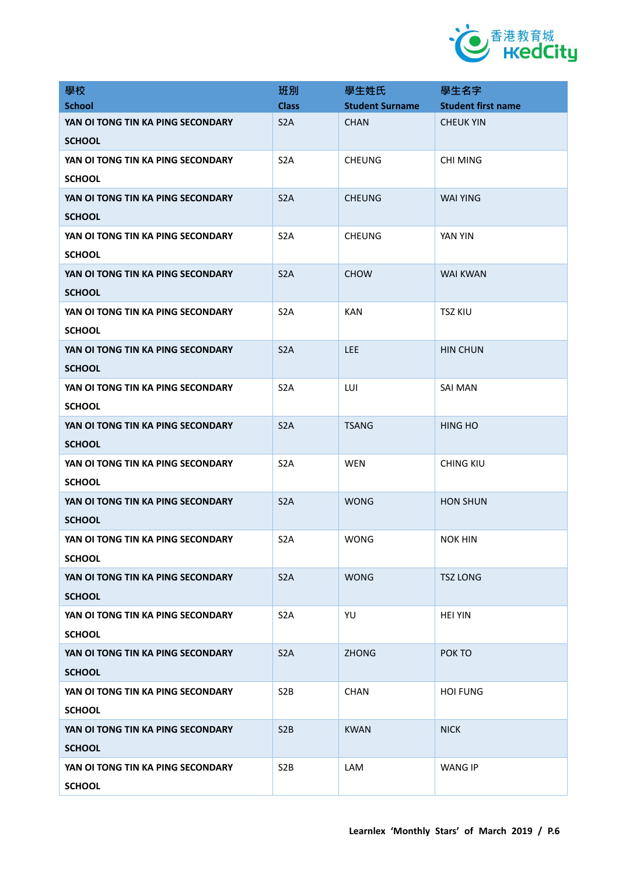

| 學校                                                 | 班別               | 學生姓氏                   | 學生名字                      |
|----------------------------------------------------|------------------|------------------------|---------------------------|
| <b>School</b>                                      | <b>Class</b>     | <b>Student Surname</b> | <b>Student first name</b> |
| YAN OI TONG TIN KA PING SECONDARY<br><b>SCHOOL</b> | S <sub>2</sub> A | <b>CHAN</b>            | <b>CHEUK YIN</b>          |
| YAN OI TONG TIN KA PING SECONDARY<br><b>SCHOOL</b> | S <sub>2</sub> A | <b>CHEUNG</b>          | <b>CHI MING</b>           |
| YAN OI TONG TIN KA PING SECONDARY<br><b>SCHOOL</b> | S <sub>2</sub> A | <b>CHEUNG</b>          | <b>WAI YING</b>           |
| YAN OI TONG TIN KA PING SECONDARY<br><b>SCHOOL</b> | S <sub>2</sub> A | <b>CHEUNG</b>          | YAN YIN                   |
| YAN OI TONG TIN KA PING SECONDARY<br><b>SCHOOL</b> | S <sub>2</sub> A | <b>CHOW</b>            | <b>WAI KWAN</b>           |
| YAN OI TONG TIN KA PING SECONDARY<br><b>SCHOOL</b> | S <sub>2</sub> A | <b>KAN</b>             | <b>TSZ KIU</b>            |
| YAN OI TONG TIN KA PING SECONDARY<br><b>SCHOOL</b> | S <sub>2</sub> A | LEE                    | <b>HIN CHUN</b>           |
| YAN OI TONG TIN KA PING SECONDARY<br><b>SCHOOL</b> | S <sub>2</sub> A | LUI                    | SAI MAN                   |
| YAN OI TONG TIN KA PING SECONDARY<br><b>SCHOOL</b> | S <sub>2</sub> A | <b>TSANG</b>           | <b>HING HO</b>            |
| YAN OI TONG TIN KA PING SECONDARY<br><b>SCHOOL</b> | S <sub>2</sub> A | WEN                    | <b>CHING KIU</b>          |
| YAN OI TONG TIN KA PING SECONDARY<br><b>SCHOOL</b> | S <sub>2</sub> A | <b>WONG</b>            | <b>HON SHUN</b>           |
| YAN OI TONG TIN KA PING SECONDARY<br><b>SCHOOL</b> | S <sub>2</sub> A | <b>WONG</b>            | <b>NOK HIN</b>            |
| YAN OI TONG TIN KA PING SECONDARY<br><b>SCHOOL</b> | S <sub>2</sub> A | <b>WONG</b>            | <b>TSZ LONG</b>           |
| YAN OI TONG TIN KA PING SECONDARY<br><b>SCHOOL</b> | S <sub>2</sub> A | YU                     | <b>HEI YIN</b>            |
| YAN OI TONG TIN KA PING SECONDARY<br><b>SCHOOL</b> | S <sub>2</sub> A | <b>ZHONG</b>           | POK TO                    |
| YAN OI TONG TIN KA PING SECONDARY<br><b>SCHOOL</b> | S <sub>2</sub> B | <b>CHAN</b>            | <b>HOI FUNG</b>           |
| YAN OI TONG TIN KA PING SECONDARY<br><b>SCHOOL</b> | S <sub>2</sub> B | <b>KWAN</b>            | <b>NICK</b>               |
| YAN OI TONG TIN KA PING SECONDARY<br><b>SCHOOL</b> | S <sub>2</sub> B | LAM                    | <b>WANG IP</b>            |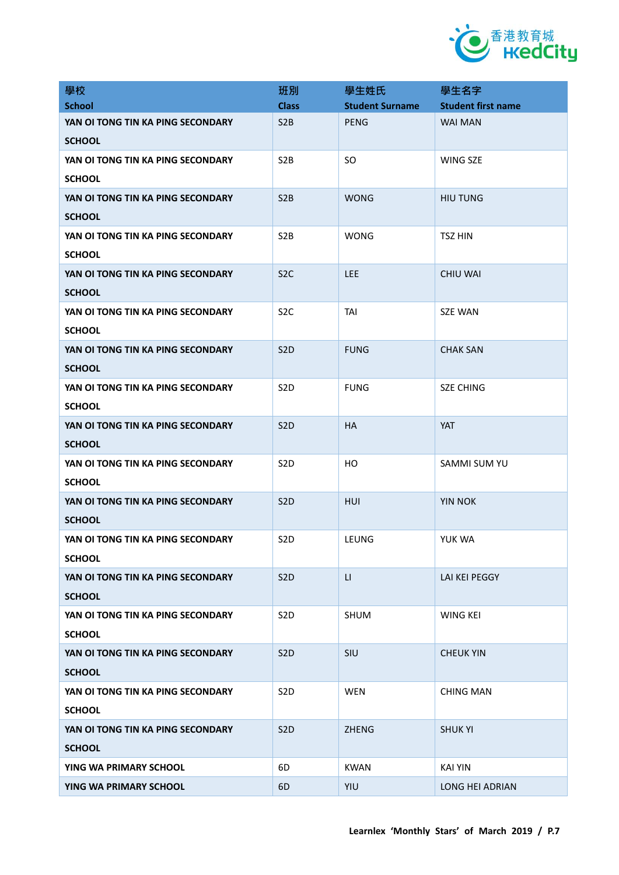

| 學校                                                 | 班別               | 學生姓氏                   | 學生名字                      |
|----------------------------------------------------|------------------|------------------------|---------------------------|
| <b>School</b>                                      | <b>Class</b>     | <b>Student Surname</b> | <b>Student first name</b> |
| YAN OI TONG TIN KA PING SECONDARY<br><b>SCHOOL</b> | S <sub>2</sub> B | PENG                   | <b>WAI MAN</b>            |
| YAN OI TONG TIN KA PING SECONDARY<br><b>SCHOOL</b> | S <sub>2</sub> B | <b>SO</b>              | WING SZE                  |
| YAN OI TONG TIN KA PING SECONDARY<br><b>SCHOOL</b> | S <sub>2</sub> B | <b>WONG</b>            | <b>HIU TUNG</b>           |
| YAN OI TONG TIN KA PING SECONDARY<br><b>SCHOOL</b> | S <sub>2</sub> B | <b>WONG</b>            | <b>TSZ HIN</b>            |
| YAN OI TONG TIN KA PING SECONDARY<br><b>SCHOOL</b> | S <sub>2</sub> C | <b>LEE</b>             | <b>CHIU WAI</b>           |
| YAN OI TONG TIN KA PING SECONDARY<br><b>SCHOOL</b> | S <sub>2</sub> C | <b>TAI</b>             | <b>SZE WAN</b>            |
| YAN OI TONG TIN KA PING SECONDARY<br><b>SCHOOL</b> | S <sub>2</sub> D | <b>FUNG</b>            | <b>CHAK SAN</b>           |
| YAN OI TONG TIN KA PING SECONDARY<br><b>SCHOOL</b> | S <sub>2</sub> D | <b>FUNG</b>            | <b>SZE CHING</b>          |
| YAN OI TONG TIN KA PING SECONDARY<br><b>SCHOOL</b> | S <sub>2</sub> D | <b>HA</b>              | <b>YAT</b>                |
| YAN OI TONG TIN KA PING SECONDARY<br><b>SCHOOL</b> | S <sub>2</sub> D | HO                     | SAMMI SUM YU              |
| YAN OI TONG TIN KA PING SECONDARY<br><b>SCHOOL</b> | S <sub>2</sub> D | HUI                    | <b>YIN NOK</b>            |
| YAN OI TONG TIN KA PING SECONDARY<br><b>SCHOOL</b> | S <sub>2</sub> D | LEUNG                  | YUK WA                    |
| YAN OI TONG TIN KA PING SECONDARY<br><b>SCHOOL</b> | S <sub>2</sub> D | $\mathsf{L}$           | LAI KEI PEGGY             |
| YAN OI TONG TIN KA PING SECONDARY<br><b>SCHOOL</b> | S <sub>2</sub> D | <b>SHUM</b>            | <b>WING KEI</b>           |
| YAN OI TONG TIN KA PING SECONDARY<br><b>SCHOOL</b> | S <sub>2</sub> D | SIU                    | <b>CHEUK YIN</b>          |
| YAN OI TONG TIN KA PING SECONDARY<br><b>SCHOOL</b> | S <sub>2</sub> D | <b>WEN</b>             | <b>CHING MAN</b>          |
| YAN OI TONG TIN KA PING SECONDARY<br><b>SCHOOL</b> | S <sub>2</sub> D | <b>ZHENG</b>           | <b>SHUK YI</b>            |
| YING WA PRIMARY SCHOOL                             | 6D               | <b>KWAN</b>            | <b>KAI YIN</b>            |
| YING WA PRIMARY SCHOOL                             | 6D               | YIU                    | LONG HEI ADRIAN           |